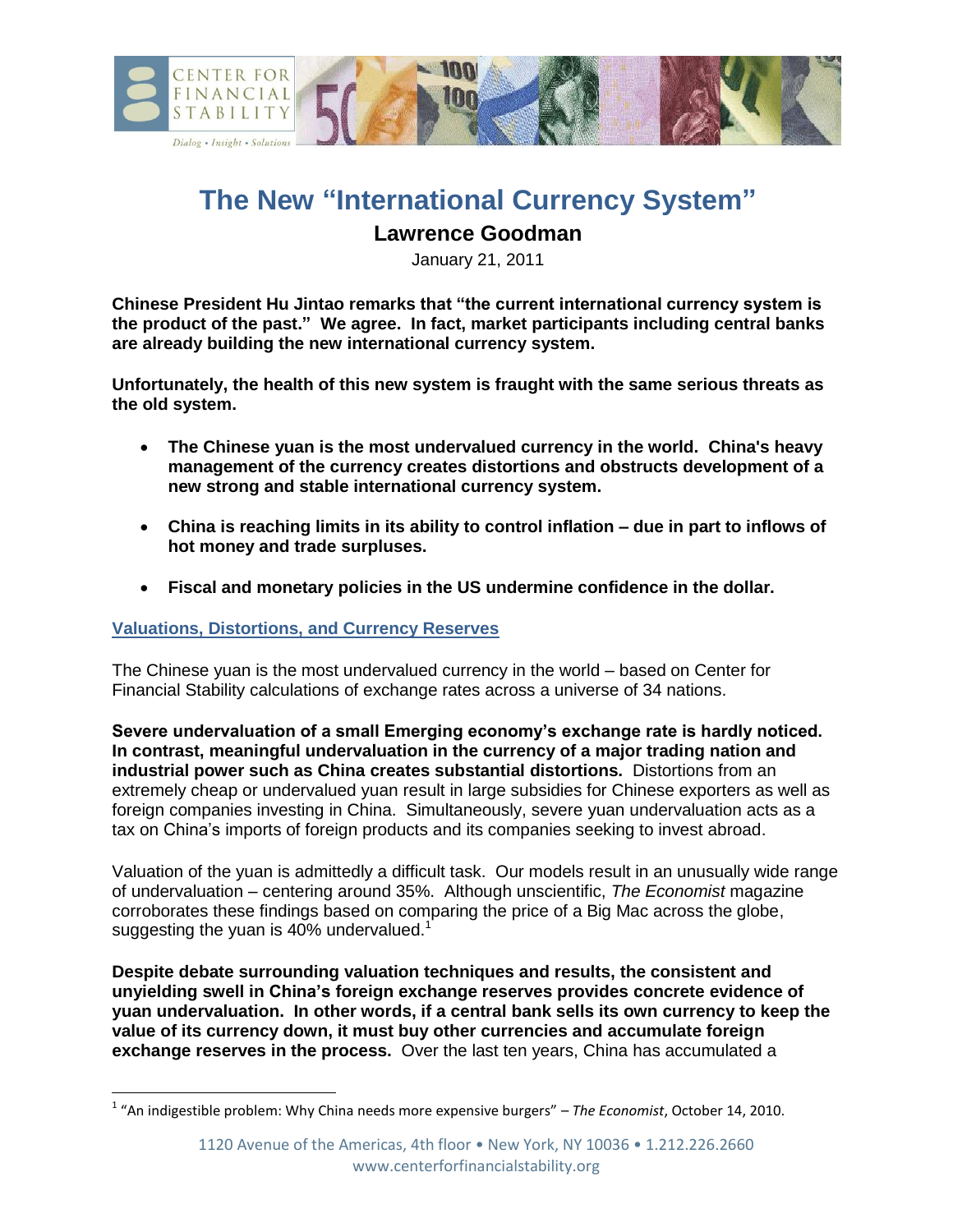

# **The New "International Currency System"**

## **Lawrence Goodman**

January 21, 2011

**Chinese President Hu Jintao remarks that "the current international currency system is the product of the past." We agree. In fact, market participants including central banks are already building the new international currency system.**

**Unfortunately, the health of this new system is fraught with the same serious threats as the old system.** 

- **The Chinese yuan is the most undervalued currency in the world. China's heavy management of the currency creates distortions and obstructs development of a new strong and stable international currency system.**
- **China is reaching limits in its ability to control inflation – due in part to inflows of hot money and trade surpluses.**
- **Fiscal and monetary policies in the US undermine confidence in the dollar.**

#### **Valuations, Distortions, and Currency Reserves**

 $\overline{\phantom{a}}$ 

The Chinese yuan is the most undervalued currency in the world – based on Center for Financial Stability calculations of exchange rates across a universe of 34 nations.

**Severe undervaluation of a small Emerging economy's exchange rate is hardly noticed. In contrast, meaningful undervaluation in the currency of a major trading nation and industrial power such as China creates substantial distortions.** Distortions from an extremely cheap or undervalued yuan result in large subsidies for Chinese exporters as well as foreign companies investing in China. Simultaneously, severe yuan undervaluation acts as a tax on China's imports of foreign products and its companies seeking to invest abroad.

Valuation of the yuan is admittedly a difficult task. Our models result in an unusually wide range of undervaluation – centering around 35%. Although unscientific, *The Economist* magazine corroborates these findings based on comparing the price of a Big Mac across the globe, suggesting the yuan is 40% undervalued.<sup>1</sup>

**Despite debate surrounding valuation techniques and results, the consistent and unyielding swell in China's foreign exchange reserves provides concrete evidence of yuan undervaluation. In other words, if a central bank sells its own currency to keep the value of its currency down, it must buy other currencies and accumulate foreign exchange reserves in the process.** Over the last ten years, China has accumulated a

<sup>1</sup> "An indigestible problem: Why China needs more expensive burgers" – *The Economist*, October 14, 2010.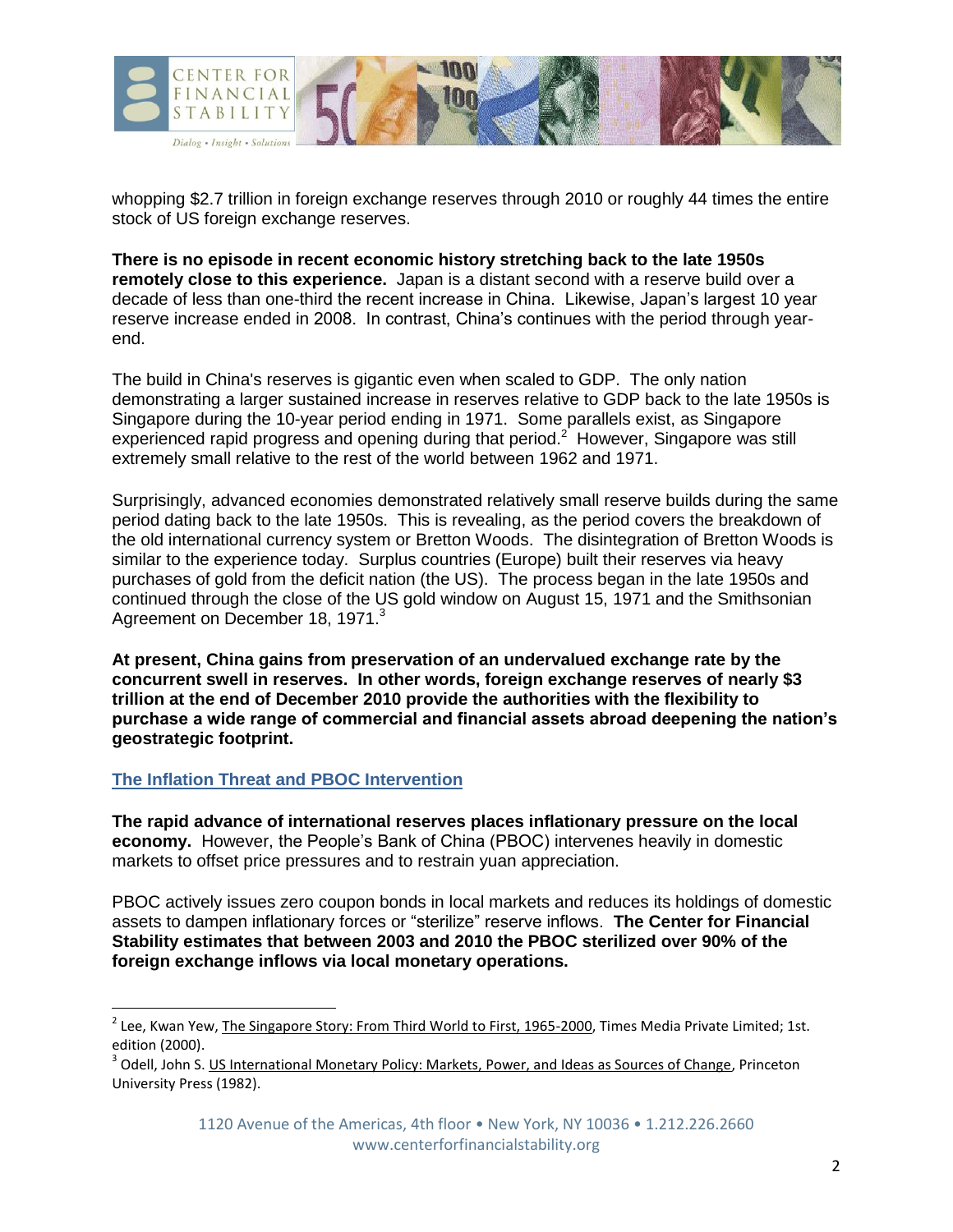

whopping \$2.7 trillion in foreign exchange reserves through 2010 or roughly 44 times the entire stock of US foreign exchange reserves.

**There is no episode in recent economic history stretching back to the late 1950s remotely close to this experience.** Japan is a distant second with a reserve build over a decade of less than one-third the recent increase in China. Likewise, Japan's largest 10 year reserve increase ended in 2008. In contrast, China's continues with the period through yearend.

The build in China's reserves is gigantic even when scaled to GDP. The only nation demonstrating a larger sustained increase in reserves relative to GDP back to the late 1950s is Singapore during the 10-year period ending in 1971. Some parallels exist, as Singapore experienced rapid progress and opening during that period.<sup>2</sup> However, Singapore was still extremely small relative to the rest of the world between 1962 and 1971.

Surprisingly, advanced economies demonstrated relatively small reserve builds during the same period dating back to the late 1950s. This is revealing, as the period covers the breakdown of the old international currency system or Bretton Woods. The disintegration of Bretton Woods is similar to the experience today. Surplus countries (Europe) built their reserves via heavy purchases of gold from the deficit nation (the US). The process began in the late 1950s and continued through the close of the US gold window on August 15, 1971 and the Smithsonian Agreement on December 18, 1971.<sup>3</sup>

**At present, China gains from preservation of an undervalued exchange rate by the concurrent swell in reserves. In other words, foreign exchange reserves of nearly \$3 trillion at the end of December 2010 provide the authorities with the flexibility to purchase a wide range of commercial and financial assets abroad deepening the nation's geostrategic footprint.**

### **The Inflation Threat and PBOC Intervention**

 $\overline{a}$ 

**The rapid advance of international reserves places inflationary pressure on the local economy.** However, the People's Bank of China (PBOC) intervenes heavily in domestic markets to offset price pressures and to restrain yuan appreciation.

PBOC actively issues zero coupon bonds in local markets and reduces its holdings of domestic assets to dampen inflationary forces or "sterilize" reserve inflows. **The Center for Financial Stability estimates that between 2003 and 2010 the PBOC sterilized over 90% of the foreign exchange inflows via local monetary operations.**

<sup>&</sup>lt;sup>2</sup> Lee, Kwan Yew, <u>The Singapore Story: From Third World to First, 1965-2000</u>, Times Media Private Limited; 1st. edition (2000).

<sup>&</sup>lt;sup>3</sup> Odell, John S. <u>US International Monetary Policy: Markets, Power, and Ideas as Sources of Change</u>, Princeton University Press (1982).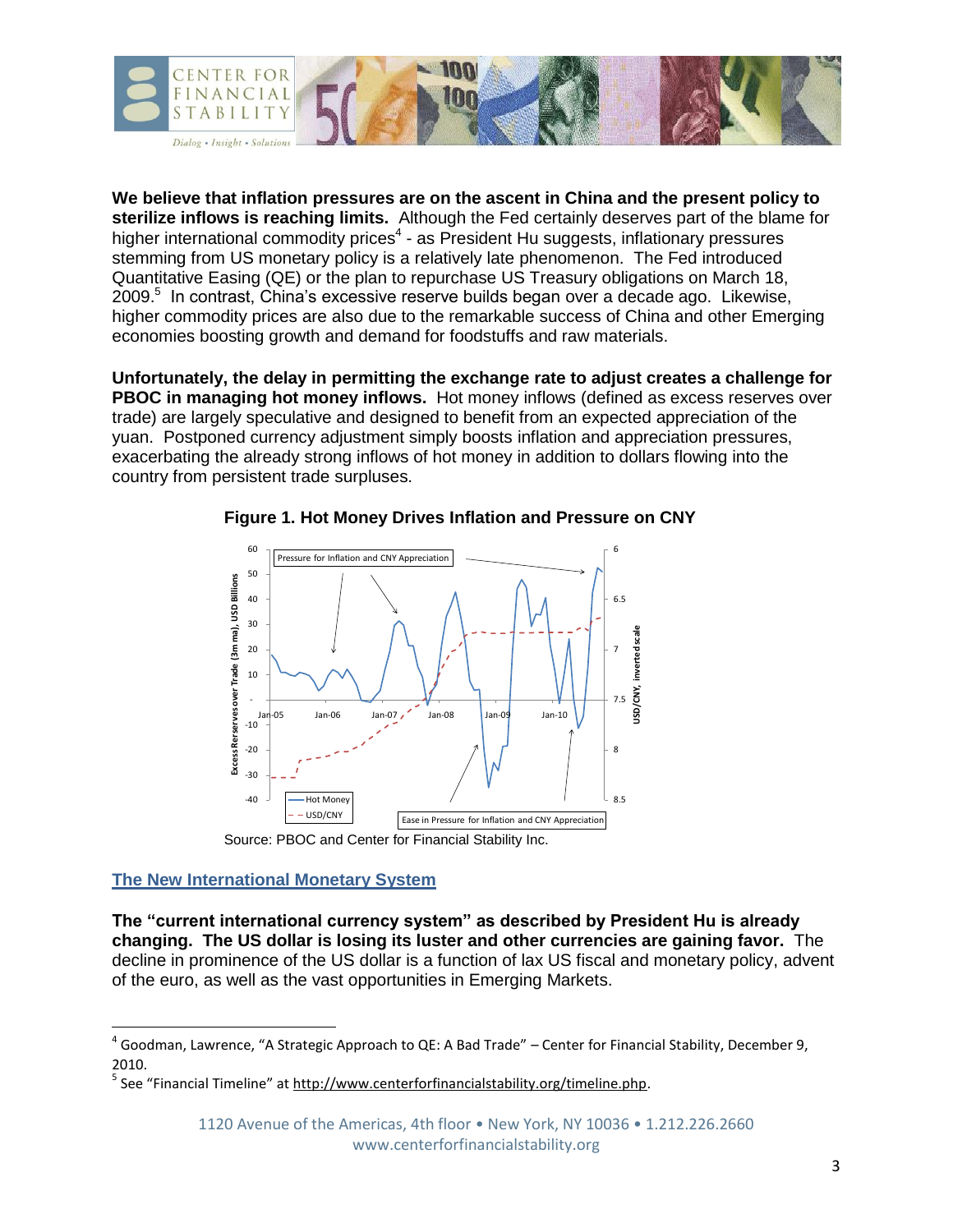

**We believe that inflation pressures are on the ascent in China and the present policy to sterilize inflows is reaching limits.** Although the Fed certainly deserves part of the blame for higher international commodity prices<sup>4</sup> - as President Hu suggests, inflationary pressures stemming from US monetary policy is a relatively late phenomenon. The Fed introduced Quantitative Easing (QE) or the plan to repurchase US Treasury obligations on March 18, 2009. 5 In contrast, China's excessive reserve builds began over a decade ago. Likewise, higher commodity prices are also due to the remarkable success of China and other Emerging economies boosting growth and demand for foodstuffs and raw materials.

**Unfortunately, the delay in permitting the exchange rate to adjust creates a challenge for PBOC in managing hot money inflows.** Hot money inflows (defined as excess reserves over trade) are largely speculative and designed to benefit from an expected appreciation of the yuan. Postponed currency adjustment simply boosts inflation and appreciation pressures, exacerbating the already strong inflows of hot money in addition to dollars flowing into the country from persistent trade surpluses.



**Figure 1. Hot Money Drives Inflation and Pressure on CNY**

## **The New International Monetary System**

l

**The "current international currency system" as described by President Hu is already changing. The US dollar is losing its luster and other currencies are gaining favor.** The decline in prominence of the US dollar is a function of lax US fiscal and monetary policy, advent of the euro, as well as the vast opportunities in Emerging Markets.

 $^4$  Goodman, Lawrence, "A Strategic Approach to QE: A Bad Trade" – Center for Financial Stability, December 9, 2010.

<sup>&</sup>lt;sup>5</sup> See "Financial Timeline" at <u>http://www.centerforfinancialstability.org/timeline.php</u>.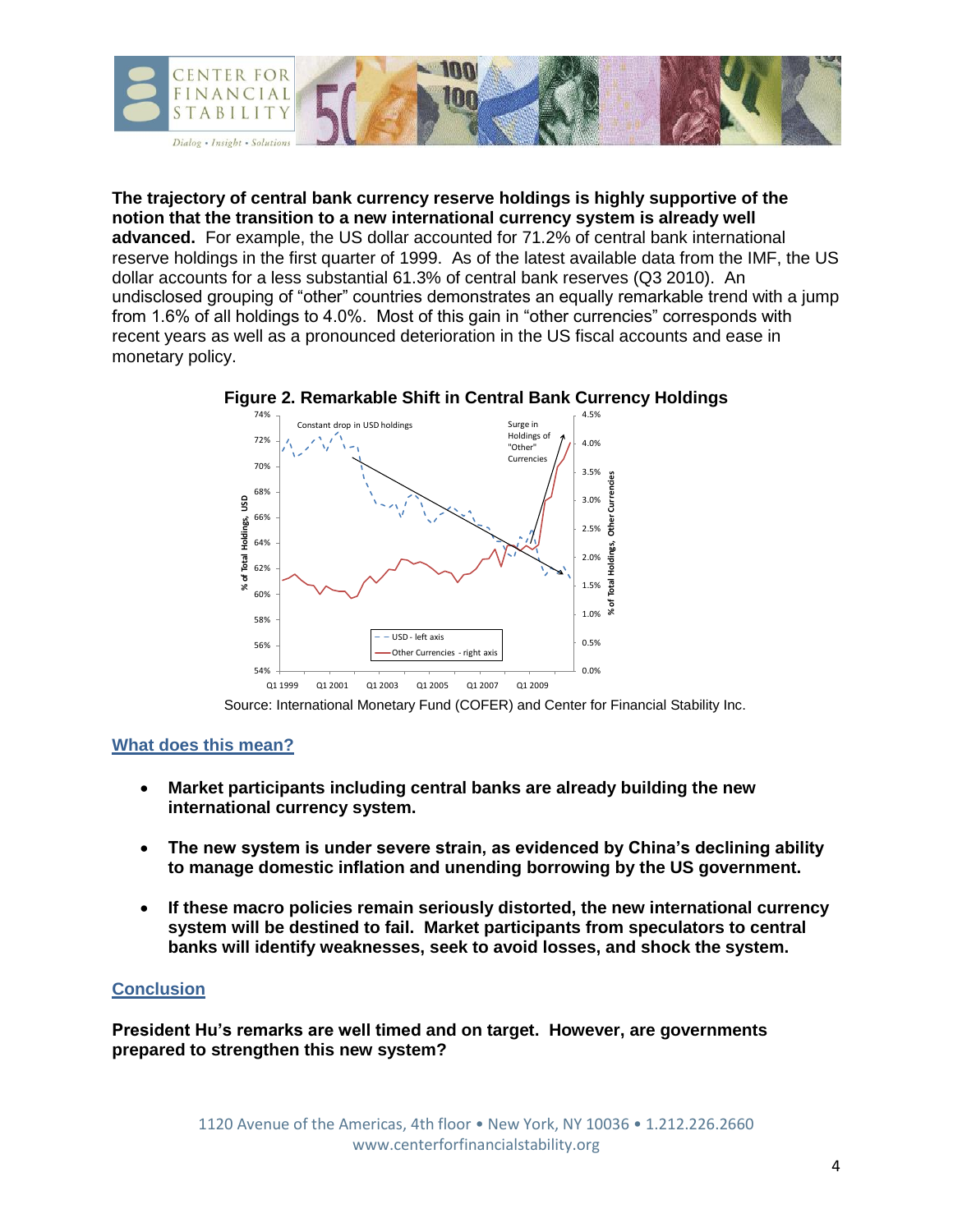

**The trajectory of central bank currency reserve holdings is highly supportive of the notion that the transition to a new international currency system is already well advanced.** For example, the US dollar accounted for 71.2% of central bank international reserve holdings in the first quarter of 1999. As of the latest available data from the IMF, the US dollar accounts for a less substantial 61.3% of central bank reserves (Q3 2010). An undisclosed grouping of "other" countries demonstrates an equally remarkable trend with a jump from 1.6% of all holdings to 4.0%. Most of this gain in "other currencies" corresponds with recent years as well as a pronounced deterioration in the US fiscal accounts and ease in monetary policy.



**Figure 2. Remarkable Shift in Central Bank Currency Holdings**

Source: International Monetary Fund (COFER) and Center for Financial Stability Inc.

#### **What does this mean?**

- **Market participants including central banks are already building the new international currency system.**
- **The new system is under severe strain, as evidenced by China's declining ability to manage domestic inflation and unending borrowing by the US government.**
- **If these macro policies remain seriously distorted, the new international currency system will be destined to fail. Market participants from speculators to central banks will identify weaknesses, seek to avoid losses, and shock the system.**

#### **Conclusion**

**President Hu's remarks are well timed and on target. However, are governments prepared to strengthen this new system?**